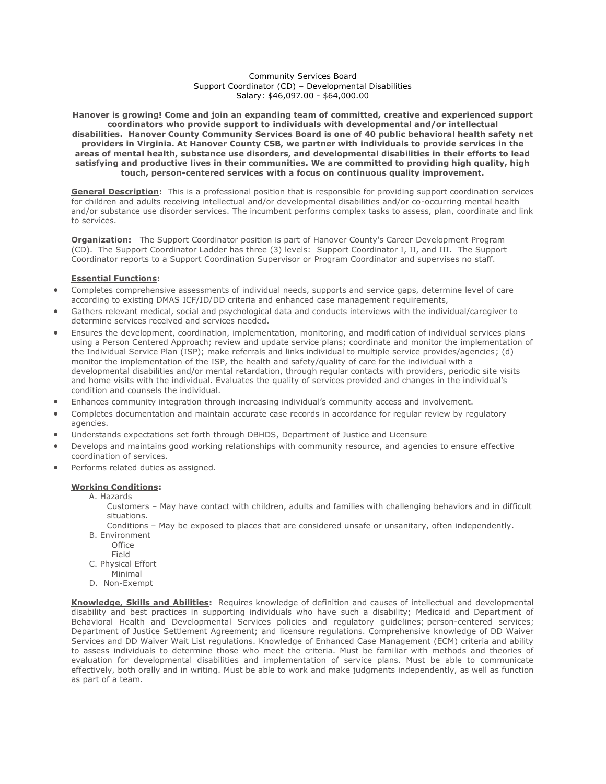## Community Services Board Support Coordinator (CD) – Developmental Disabilities Salary: \$46,097.00 - \$64,000.00

**Hanover is growing! Come and join an expanding team of committed, creative and experienced support coordinators who provide support to individuals with developmental and/or intellectual disabilities. Hanover County Community Services Board is one of 40 public behavioral health safety net providers in Virginia. At Hanover County CSB, we partner with individuals to provide services in the areas of mental health, substance use disorders, and developmental disabilities in their efforts to lead satisfying and productive lives in their communities. We are committed to providing high quality, high touch, person-centered services with a focus on continuous quality improvement.**

**General Description:** This is a professional position that is responsible for providing support coordination services for children and adults receiving intellectual and/or developmental disabilities and/or co-occurring mental health and/or substance use disorder services. The incumbent performs complex tasks to assess, plan, coordinate and link to services.

**Organization:** The Support Coordinator position is part of Hanover County's Career Development Program (CD). The Support Coordinator Ladder has three (3) levels: Support Coordinator I, II, and III. The Support Coordinator reports to a Support Coordination Supervisor or Program Coordinator and supervises no staff.

## **Essential Functions:**

- Completes comprehensive assessments of individual needs, supports and service gaps, determine level of care according to existing DMAS ICF/ID/DD criteria and enhanced case management requirements,
- Gathers relevant medical, social and psychological data and conducts interviews with the individual/caregiver to determine services received and services needed.
- Ensures the development, coordination, implementation, monitoring, and modification of individual services plans using a Person Centered Approach; review and update service plans; coordinate and monitor the implementation of the Individual Service Plan (ISP); make referrals and links individual to multiple service provides/agencies; (d) monitor the implementation of the ISP, the health and safety/quality of care for the individual with a developmental disabilities and/or mental retardation, through regular contacts with providers, periodic site visits and home visits with the individual. Evaluates the quality of services provided and changes in the individual's condition and counsels the individual.
- Enhances community integration through increasing individual's community access and involvement.
- Completes documentation and maintain accurate case records in accordance for regular review by regulatory agencies.
- Understands expectations set forth through DBHDS, Department of Justice and Licensure
- Develops and maintains good working relationships with community resource, and agencies to ensure effective coordination of services.
- Performs related duties as assigned.

## **Working Conditions:**

- A. Hazards
	- Customers May have contact with children, adults and families with challenging behaviors and in difficult situations.
	- Conditions May be exposed to places that are considered unsafe or unsanitary, often independently.
- B. Environment
	- Office
	- Field
- C. Physical Effort Minimal
- D. Non-Exempt

**Knowledge, Skills and Abilities:** Requires knowledge of definition and causes of intellectual and developmental disability and best practices in supporting individuals who have such a disability; Medicaid and Department of Behavioral Health and Developmental Services policies and regulatory guidelines; person-centered services; Department of Justice Settlement Agreement; and licensure regulations. Comprehensive knowledge of DD Waiver Services and DD Waiver Wait List regulations. Knowledge of Enhanced Case Management (ECM) criteria and ability to assess individuals to determine those who meet the criteria. Must be familiar with methods and theories of evaluation for developmental disabilities and implementation of service plans. Must be able to communicate effectively, both orally and in writing. Must be able to work and make judgments independently, as well as function as part of a team.